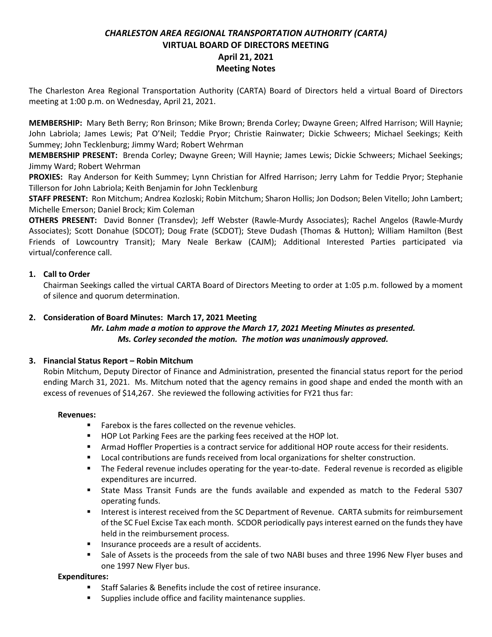# *CHARLESTON AREA REGIONAL TRANSPORTATION AUTHORITY (CARTA)* **VIRTUAL BOARD OF DIRECTORS MEETING April 21, 2021 Meeting Notes**

The Charleston Area Regional Transportation Authority (CARTA) Board of Directors held a virtual Board of Directors meeting at 1:00 p.m. on Wednesday, April 21, 2021.

**MEMBERSHIP:** Mary Beth Berry; Ron Brinson; Mike Brown; Brenda Corley; Dwayne Green; Alfred Harrison; Will Haynie; John Labriola; James Lewis; Pat O'Neil; Teddie Pryor; Christie Rainwater; Dickie Schweers; Michael Seekings; Keith Summey; John Tecklenburg; Jimmy Ward; Robert Wehrman

**MEMBERSHIP PRESENT:** Brenda Corley; Dwayne Green; Will Haynie; James Lewis; Dickie Schweers; Michael Seekings; Jimmy Ward; Robert Wehrman

**PROXIES:** Ray Anderson for Keith Summey; Lynn Christian for Alfred Harrison; Jerry Lahm for Teddie Pryor; Stephanie Tillerson for John Labriola; Keith Benjamin for John Tecklenburg

**STAFF PRESENT:** Ron Mitchum; Andrea Kozloski; Robin Mitchum; Sharon Hollis; Jon Dodson; Belen Vitello; John Lambert; Michelle Emerson; Daniel Brock; Kim Coleman

**OTHERS PRESENT:** David Bonner (Transdev); Jeff Webster (Rawle-Murdy Associates); Rachel Angelos (Rawle-Murdy Associates); Scott Donahue (SDCOT); Doug Frate (SCDOT); Steve Dudash (Thomas & Hutton); William Hamilton (Best Friends of Lowcountry Transit); Mary Neale Berkaw (CAJM); Additional Interested Parties participated via virtual/conference call.

### **1. Call to Order**

Chairman Seekings called the virtual CARTA Board of Directors Meeting to order at 1:05 p.m. followed by a moment of silence and quorum determination.

### **2. Consideration of Board Minutes: March 17, 2021 Meeting**

### *Mr. Lahm made a motion to approve the March 17, 2021 Meeting Minutes as presented. Ms. Corley seconded the motion. The motion was unanimously approved.*

### **3. Financial Status Report – Robin Mitchum**

Robin Mitchum, Deputy Director of Finance and Administration, presented the financial status report for the period ending March 31, 2021. Ms. Mitchum noted that the agency remains in good shape and ended the month with an excess of revenues of \$14,267. She reviewed the following activities for FY21 thus far:

#### **Revenues:**

- Farebox is the fares collected on the revenue vehicles.
- HOP Lot Parking Fees are the parking fees received at the HOP lot.
- **EXECT** Armad Hoffler Properties is a contract service for additional HOP route access for their residents.
- Local contributions are funds received from local organizations for shelter construction.
- The Federal revenue includes operating for the year-to-date. Federal revenue is recorded as eligible expenditures are incurred.
- State Mass Transit Funds are the funds available and expended as match to the Federal 5307 operating funds.
- Interest is interest received from the SC Department of Revenue. CARTA submits for reimbursement of the SC Fuel Excise Tax each month. SCDOR periodically pays interest earned on the funds they have held in the reimbursement process.
- **■** Insurance proceeds are a result of accidents.
- Sale of Assets is the proceeds from the sale of two NABI buses and three 1996 New Flyer buses and one 1997 New Flyer bus.

#### **Expenditures:**

- Staff Salaries & Benefits include the cost of retiree insurance.
- Supplies include office and facility maintenance supplies.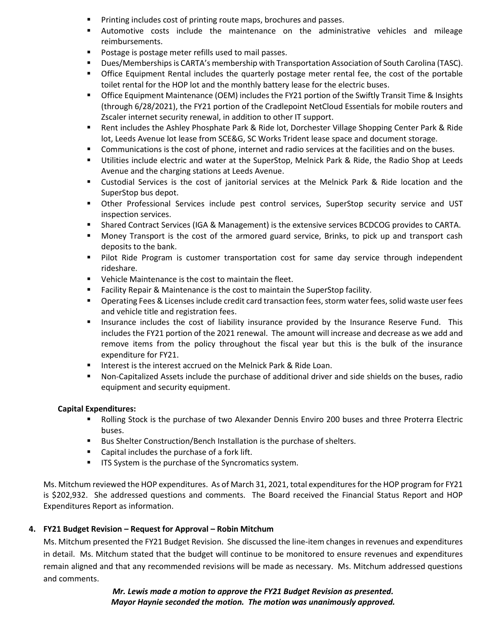- Printing includes cost of printing route maps, brochures and passes.
- Automotive costs include the maintenance on the administrative vehicles and mileage reimbursements.
- Postage is postage meter refills used to mail passes.
- Dues/Memberships is CARTA's membership with Transportation Association of South Carolina (TASC).
- **•** Office Equipment Rental includes the quarterly postage meter rental fee, the cost of the portable toilet rental for the HOP lot and the monthly battery lease for the electric buses.
- Office Equipment Maintenance (OEM) includes the FY21 portion of the Swiftly Transit Time & Insights (through 6/28/2021), the FY21 portion of the Cradlepoint NetCloud Essentials for mobile routers and Zscaler internet security renewal, in addition to other IT support.
- Rent includes the Ashley Phosphate Park & Ride lot, Dorchester Village Shopping Center Park & Ride lot, Leeds Avenue lot lease from SCE&G, SC Works Trident lease space and document storage.
- Communications is the cost of phone, internet and radio services at the facilities and on the buses.
- Utilities include electric and water at the SuperStop, Melnick Park & Ride, the Radio Shop at Leeds Avenue and the charging stations at Leeds Avenue.
- Custodial Services is the cost of janitorial services at the Melnick Park & Ride location and the SuperStop bus depot.
- Other Professional Services include pest control services, SuperStop security service and UST inspection services.
- **EXECT ACT SHARE CONTRACT SERVICES (IGA & Management) is the extensive services BCDCOG provides to CARTA.**
- Money Transport is the cost of the armored guard service, Brinks, to pick up and transport cash deposits to the bank.
- Pilot Ride Program is customer transportation cost for same day service through independent rideshare.
- Vehicle Maintenance is the cost to maintain the fleet.
- Facility Repair & Maintenance is the cost to maintain the SuperStop facility.
- Operating Fees & Licenses include credit card transaction fees, storm water fees, solid waste user fees and vehicle title and registration fees.
- **■** Insurance includes the cost of liability insurance provided by the Insurance Reserve Fund. This includes the FY21 portion of the 2021 renewal. The amount will increase and decrease as we add and remove items from the policy throughout the fiscal year but this is the bulk of the insurance expenditure for FY21.
- Interest is the interest accrued on the Melnick Park & Ride Loan.
- Non-Capitalized Assets include the purchase of additional driver and side shields on the buses, radio equipment and security equipment.

### **Capital Expenditures:**

- Rolling Stock is the purchase of two Alexander Dennis Enviro 200 buses and three Proterra Electric buses.
- Bus Shelter Construction/Bench Installation is the purchase of shelters.
- Capital includes the purchase of a fork lift.
- **■** ITS System is the purchase of the Syncromatics system.

Ms. Mitchum reviewed the HOP expenditures. As of March 31, 2021, total expenditures for the HOP program for FY21 is \$202,932. She addressed questions and comments. The Board received the Financial Status Report and HOP Expenditures Report as information.

## **4. FY21 Budget Revision – Request for Approval – Robin Mitchum**

Ms. Mitchum presented the FY21 Budget Revision. She discussed the line-item changes in revenues and expenditures in detail. Ms. Mitchum stated that the budget will continue to be monitored to ensure revenues and expenditures remain aligned and that any recommended revisions will be made as necessary. Ms. Mitchum addressed questions and comments.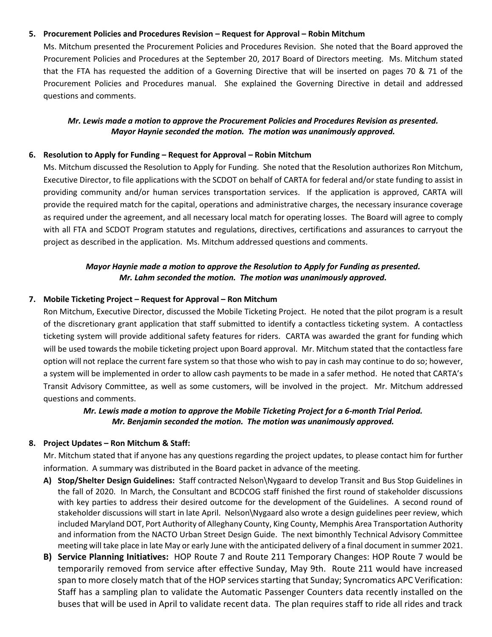#### **5. Procurement Policies and Procedures Revision – Request for Approval – Robin Mitchum**

Ms. Mitchum presented the Procurement Policies and Procedures Revision. She noted that the Board approved the Procurement Policies and Procedures at the September 20, 2017 Board of Directors meeting. Ms. Mitchum stated that the FTA has requested the addition of a Governing Directive that will be inserted on pages 70 & 71 of the Procurement Policies and Procedures manual. She explained the Governing Directive in detail and addressed questions and comments.

### *Mr. Lewis made a motion to approve the Procurement Policies and Procedures Revision as presented. Mayor Haynie seconded the motion. The motion was unanimously approved.*

#### **6. Resolution to Apply for Funding – Request for Approval – Robin Mitchum**

Ms. Mitchum discussed the Resolution to Apply for Funding. She noted that the Resolution authorizes Ron Mitchum, Executive Director, to file applications with the SCDOT on behalf of CARTA for federal and/or state funding to assist in providing community and/or human services transportation services. If the application is approved, CARTA will provide the required match for the capital, operations and administrative charges, the necessary insurance coverage as required under the agreement, and all necessary local match for operating losses. The Board will agree to comply with all FTA and SCDOT Program statutes and regulations, directives, certifications and assurances to carryout the project as described in the application. Ms. Mitchum addressed questions and comments.

### *Mayor Haynie made a motion to approve the Resolution to Apply for Funding as presented. Mr. Lahm seconded the motion. The motion was unanimously approved.*

#### **7. Mobile Ticketing Project – Request for Approval – Ron Mitchum**

Ron Mitchum, Executive Director, discussed the Mobile Ticketing Project. He noted that the pilot program is a result of the discretionary grant application that staff submitted to identify a contactless ticketing system. A contactless ticketing system will provide additional safety features for riders. CARTA was awarded the grant for funding which will be used towards the mobile ticketing project upon Board approval. Mr. Mitchum stated that the contactless fare option will not replace the current fare system so that those who wish to pay in cash may continue to do so; however, a system will be implemented in order to allow cash payments to be made in a safer method. He noted that CARTA's Transit Advisory Committee, as well as some customers, will be involved in the project. Mr. Mitchum addressed questions and comments.

### *Mr. Lewis made a motion to approve the Mobile Ticketing Project for a 6-month Trial Period. Mr. Benjamin seconded the motion. The motion was unanimously approved.*

#### **8. Project Updates – Ron Mitchum & Staff:**

Mr. Mitchum stated that if anyone has any questions regarding the project updates, to please contact him for further information. A summary was distributed in the Board packet in advance of the meeting.

- **A) Stop/Shelter Design Guidelines:** Staff contracted Nelson\Nygaard to develop Transit and Bus Stop Guidelines in the fall of 2020. In March, the Consultant and BCDCOG staff finished the first round of stakeholder discussions with key parties to address their desired outcome for the development of the Guidelines. A second round of stakeholder discussions will start in late April. Nelson\Nygaard also wrote a design guidelines peer review, which included Maryland DOT, Port Authority of Alleghany County, King County, Memphis Area Transportation Authority and information from the NACTO Urban Street Design Guide. The next bimonthly Technical Advisory Committee meeting will take place in late May or early June with the anticipated delivery of a final document in summer 2021.
- **B) Service Planning Initiatives:** HOP Route 7 and Route 211 Temporary Changes: HOP Route 7 would be temporarily removed from service after effective Sunday, May 9th. Route 211 would have increased span to more closely match that of the HOP services starting that Sunday; Syncromatics APC Verification: Staff has a sampling plan to validate the Automatic Passenger Counters data recently installed on the buses that will be used in April to validate recent data. The plan requires staff to ride all rides and track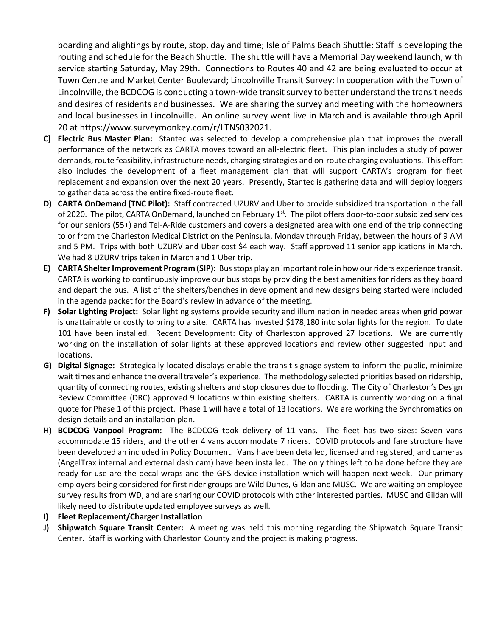boarding and alightings by route, stop, day and time; Isle of Palms Beach Shuttle: Staff is developing the routing and schedule for the Beach Shuttle. The shuttle will have a Memorial Day weekend launch, with service starting Saturday, May 29th. Connections to Routes 40 and 42 are being evaluated to occur at Town Centre and Market Center Boulevard; Lincolnville Transit Survey: In cooperation with the Town of Lincolnville, the BCDCOG is conducting a town-wide transit survey to better understand the transit needs and desires of residents and businesses. We are sharing the survey and meeting with the homeowners and local businesses in Lincolnville. An online survey went live in March and is available through April 20 at https://www.surveymonkey.com/r/LTNS032021.

- **C) Electric Bus Master Plan:** Stantec was selected to develop a comprehensive plan that improves the overall performance of the network as CARTA moves toward an all-electric fleet. This plan includes a study of power demands, route feasibility, infrastructure needs, charging strategies and on-route charging evaluations. This effort also includes the development of a fleet management plan that will support CARTA's program for fleet replacement and expansion over the next 20 years. Presently, Stantec is gathering data and will deploy loggers to gather data across the entire fixed-route fleet.
- **D) CARTA OnDemand (TNC Pilot):** Staff contracted UZURV and Uber to provide subsidized transportation in the fall of 2020. The pilot, CARTA OnDemand, launched on February 1<sup>st</sup>. The pilot offers door-to-door subsidized services for our seniors (55+) and Tel-A-Ride customers and covers a designated area with one end of the trip connecting to or from the Charleston Medical District on the Peninsula, Monday through Friday, between the hours of 9 AM and 5 PM. Trips with both UZURV and Uber cost \$4 each way. Staff approved 11 senior applications in March. We had 8 UZURV trips taken in March and 1 Uber trip.
- **E) CARTA Shelter Improvement Program (SIP):** Bus stops play an important role in how our riders experience transit. CARTA is working to continuously improve our bus stops by providing the best amenities for riders as they board and depart the bus. A list of the shelters/benches in development and new designs being started were included in the agenda packet for the Board's review in advance of the meeting.
- **F) Solar Lighting Project:** Solar lighting systems provide security and illumination in needed areas when grid power is unattainable or costly to bring to a site. CARTA has invested \$178,180 into solar lights for the region. To date 101 have been installed. Recent Development: City of Charleston approved 27 locations. We are currently working on the installation of solar lights at these approved locations and review other suggested input and locations.
- **G) Digital Signage:** Strategically-located displays enable the transit signage system to inform the public, minimize wait times and enhance the overall traveler's experience. The methodology selected priorities based on ridership, quantity of connecting routes, existing shelters and stop closures due to flooding. The City of Charleston's Design Review Committee (DRC) approved 9 locations within existing shelters. CARTA is currently working on a final quote for Phase 1 of this project. Phase 1 will have a total of 13 locations. We are working the Synchromatics on design details and an installation plan.
- **H) BCDCOG Vanpool Program:** The BCDCOG took delivery of 11 vans. The fleet has two sizes: Seven vans accommodate 15 riders, and the other 4 vans accommodate 7 riders. COVID protocols and fare structure have been developed an included in Policy Document. Vans have been detailed, licensed and registered, and cameras (AngelTrax internal and external dash cam) have been installed. The only things left to be done before they are ready for use are the decal wraps and the GPS device installation which will happen next week. Our primary employers being considered for first rider groups are Wild Dunes, Gildan and MUSC. We are waiting on employee survey results from WD, and are sharing our COVID protocols with other interested parties. MUSC and Gildan will likely need to distribute updated employee surveys as well.
- **I) Fleet Replacement/Charger Installation**
- **J) Shipwatch Square Transit Center:** A meeting was held this morning regarding the Shipwatch Square Transit Center. Staff is working with Charleston County and the project is making progress.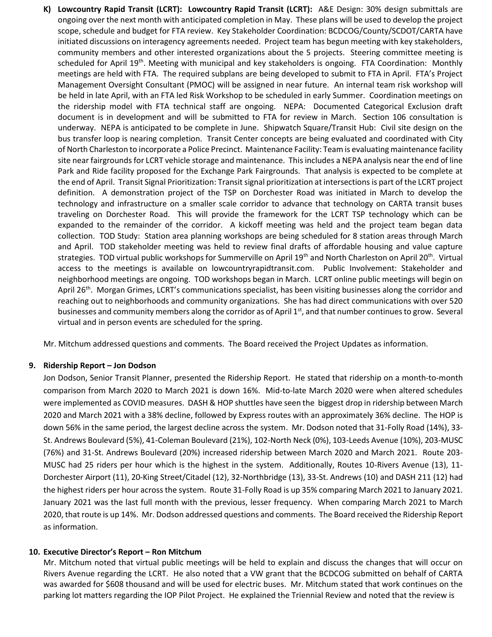**K) Lowcountry Rapid Transit (LCRT): Lowcountry Rapid Transit (LCRT):** A&E Design: 30% design submittals are ongoing over the next month with anticipated completion in May. These plans will be used to develop the project scope, schedule and budget for FTA review. Key Stakeholder Coordination: BCDCOG/County/SCDOT/CARTA have initiated discussions on interagency agreements needed. Project team has begun meeting with key stakeholders, community members and other interested organizations about the 5 projects. Steering committee meeting is scheduled for April 19th. Meeting with municipal and key stakeholders is ongoing. FTA Coordination: Monthly meetings are held with FTA. The required subplans are being developed to submit to FTA in April. FTA's Project Management Oversight Consultant (PMOC) will be assigned in near future. An internal team risk workshop will be held in late April, with an FTA led Risk Workshop to be scheduled in early Summer. Coordination meetings on the ridership model with FTA technical staff are ongoing. NEPA: Documented Categorical Exclusion draft document is in development and will be submitted to FTA for review in March. Section 106 consultation is underway. NEPA is anticipated to be complete in June. Shipwatch Square/Transit Hub: Civil site design on the bus transfer loop is nearing completion. Transit Center concepts are being evaluated and coordinated with City of North Charleston to incorporate a Police Precinct. Maintenance Facility: Team is evaluating maintenance facility site near fairgrounds for LCRT vehicle storage and maintenance. This includes a NEPA analysis near the end of line Park and Ride facility proposed for the Exchange Park Fairgrounds. That analysis is expected to be complete at the end of April. Transit Signal Prioritization: Transit signal prioritization at intersections is part of the LCRT project definition. A demonstration project of the TSP on Dorchester Road was initiated in March to develop the technology and infrastructure on a smaller scale corridor to advance that technology on CARTA transit buses traveling on Dorchester Road. This will provide the framework for the LCRT TSP technology which can be expanded to the remainder of the corridor. A kickoff meeting was held and the project team began data collection. TOD Study: Station area planning workshops are being scheduled for 8 station areas through March and April. TOD stakeholder meeting was held to review final drafts of affordable housing and value capture strategies. TOD virtual public workshops for Summerville on April 19<sup>th</sup> and North Charleston on April 20<sup>th</sup>. Virtual access to the meetings is available on lowcountryrapidtransit.com. Public Involvement: Stakeholder and neighborhood meetings are ongoing. TOD workshops began in March. LCRT online public meetings will begin on April 26<sup>th</sup>. Morgan Grimes, LCRT's communications specialist, has been visiting businesses along the corridor and reaching out to neighborhoods and community organizations. She has had direct communications with over 520 businesses and community members along the corridor as of April 1st, and that number continues to grow. Several virtual and in person events are scheduled for the spring.

Mr. Mitchum addressed questions and comments. The Board received the Project Updates as information.

#### **9. Ridership Report – Jon Dodson**

Jon Dodson, Senior Transit Planner, presented the Ridership Report. He stated that ridership on a month-to-month comparison from March 2020 to March 2021 is down 16%. Mid-to-late March 2020 were when altered schedules were implemented as COVID measures. DASH & HOP shuttles have seen the biggest drop in ridership between March 2020 and March 2021 with a 38% decline, followed by Express routes with an approximately 36% decline. The HOP is down 56% in the same period, the largest decline across the system. Mr. Dodson noted that 31-Folly Road (14%), 33- St. Andrews Boulevard (5%), 41-Coleman Boulevard (21%), 102-North Neck (0%), 103-Leeds Avenue (10%), 203-MUSC (76%) and 31-St. Andrews Boulevard (20%) increased ridership between March 2020 and March 2021. Route 203- MUSC had 25 riders per hour which is the highest in the system. Additionally, Routes 10-Rivers Avenue (13), 11- Dorchester Airport (11), 20-King Street/Citadel (12), 32-Northbridge (13), 33-St. Andrews (10) and DASH 211 (12) had the highest riders per hour across the system. Route 31-Folly Road is up 35% comparing March 2021 to January 2021. January 2021 was the last full month with the previous, lesser frequency. When comparing March 2021 to March 2020, that route is up 14%. Mr. Dodson addressed questions and comments. The Board received the Ridership Report as information.

#### **10. Executive Director's Report – Ron Mitchum**

Mr. Mitchum noted that virtual public meetings will be held to explain and discuss the changes that will occur on Rivers Avenue regarding the LCRT. He also noted that a VW grant that the BCDCOG submitted on behalf of CARTA was awarded for \$608 thousand and will be used for electric buses. Mr. Mitchum stated that work continues on the parking lot matters regarding the IOP Pilot Project. He explained the Triennial Review and noted that the review is